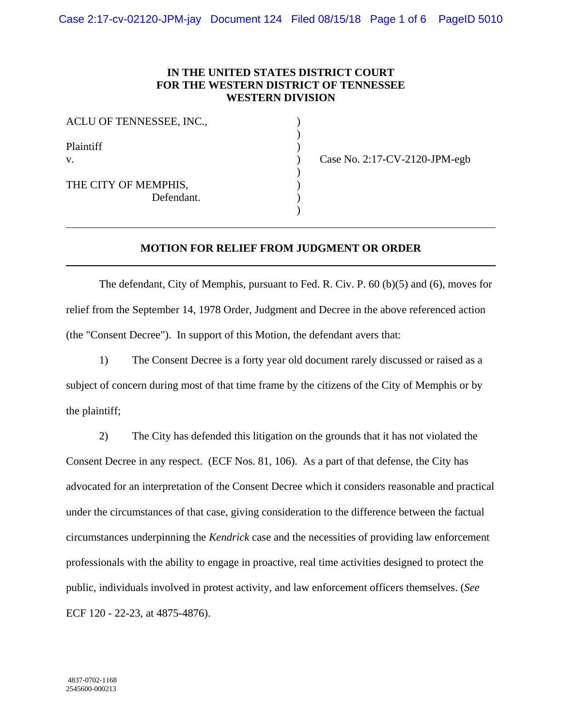## **IN THE UNITED STATES DISTRICT COURT FOR THE WESTERN DISTRICT OF TENNESSEE WESTERN DIVISION**

| ACLU OF TENNESSEE, INC.,           |  |
|------------------------------------|--|
| Plaintiff<br>$V_{\cdot}$           |  |
| THE CITY OF MEMPHIS,<br>Defendant. |  |
|                                    |  |

) Case No. 2:17-CV-2120-JPM-egb

## **MOTION FOR RELIEF FROM JUDGMENT OR ORDER**

 The defendant, City of Memphis, pursuant to Fed. R. Civ. P. 60 (b)(5) and (6), moves for relief from the September 14, 1978 Order, Judgment and Decree in the above referenced action (the "Consent Decree"). In support of this Motion, the defendant avers that:

 1) The Consent Decree is a forty year old document rarely discussed or raised as a subject of concern during most of that time frame by the citizens of the City of Memphis or by the plaintiff;

 2) The City has defended this litigation on the grounds that it has not violated the Consent Decree in any respect. (ECF Nos. 81, 106). As a part of that defense, the City has advocated for an interpretation of the Consent Decree which it considers reasonable and practical under the circumstances of that case, giving consideration to the difference between the factual circumstances underpinning the *Kendrick* case and the necessities of providing law enforcement professionals with the ability to engage in proactive, real time activities designed to protect the public, individuals involved in protest activity, and law enforcement officers themselves. (*See*  ECF 120 - 22-23, at 4875-4876).

 $\overline{a}$ 

 $\overline{a}$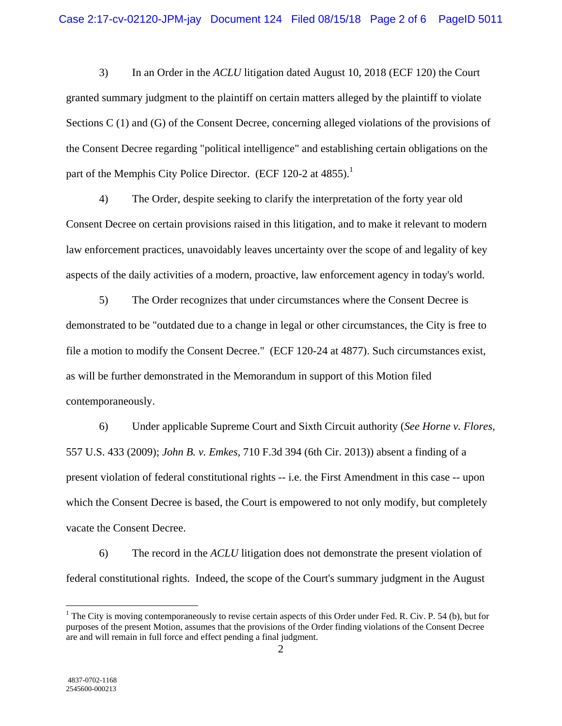3) In an Order in the *ACLU* litigation dated August 10, 2018 (ECF 120) the Court granted summary judgment to the plaintiff on certain matters alleged by the plaintiff to violate Sections C (1) and (G) of the Consent Decree, concerning alleged violations of the provisions of the Consent Decree regarding "political intelligence" and establishing certain obligations on the part of the Memphis City Police Director. (ECF 120-2 at  $4855$ ).<sup>1</sup>

 4) The Order, despite seeking to clarify the interpretation of the forty year old Consent Decree on certain provisions raised in this litigation, and to make it relevant to modern law enforcement practices, unavoidably leaves uncertainty over the scope of and legality of key aspects of the daily activities of a modern, proactive, law enforcement agency in today's world.

 5) The Order recognizes that under circumstances where the Consent Decree is demonstrated to be "outdated due to a change in legal or other circumstances, the City is free to file a motion to modify the Consent Decree." (ECF 120-24 at 4877). Such circumstances exist, as will be further demonstrated in the Memorandum in support of this Motion filed contemporaneously.

 6) Under applicable Supreme Court and Sixth Circuit authority (*See Horne v. Flores,*  557 U.S. 433 (2009); *John B. v. Emkes,* 710 F.3d 394 (6th Cir. 2013)) absent a finding of a present violation of federal constitutional rights -- i.e. the First Amendment in this case -- upon which the Consent Decree is based, the Court is empowered to not only modify, but completely vacate the Consent Decree.

 6) The record in the *ACLU* litigation does not demonstrate the present violation of federal constitutional rights. Indeed, the scope of the Court's summary judgment in the August

 $\overline{a}$ 

<sup>&</sup>lt;sup>1</sup> The City is moving contemporaneously to revise certain aspects of this Order under Fed. R. Civ. P. 54 (b), but for purposes of the present Motion, assumes that the provisions of the Order finding violations of the Consent Decree are and will remain in full force and effect pending a final judgment.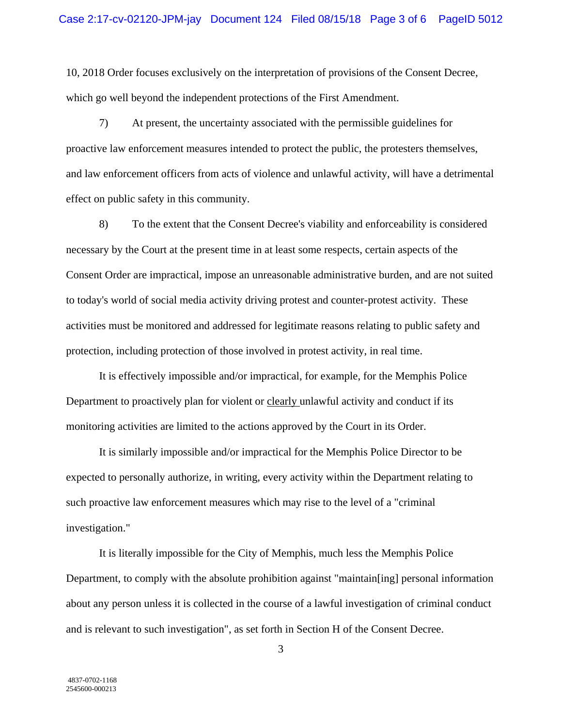10, 2018 Order focuses exclusively on the interpretation of provisions of the Consent Decree, which go well beyond the independent protections of the First Amendment.

 7) At present, the uncertainty associated with the permissible guidelines for proactive law enforcement measures intended to protect the public, the protesters themselves, and law enforcement officers from acts of violence and unlawful activity, will have a detrimental effect on public safety in this community.

 8) To the extent that the Consent Decree's viability and enforceability is considered necessary by the Court at the present time in at least some respects, certain aspects of the Consent Order are impractical, impose an unreasonable administrative burden, and are not suited to today's world of social media activity driving protest and counter-protest activity. These activities must be monitored and addressed for legitimate reasons relating to public safety and protection, including protection of those involved in protest activity, in real time.

 It is effectively impossible and/or impractical, for example, for the Memphis Police Department to proactively plan for violent or clearly unlawful activity and conduct if its monitoring activities are limited to the actions approved by the Court in its Order.

 It is similarly impossible and/or impractical for the Memphis Police Director to be expected to personally authorize, in writing, every activity within the Department relating to such proactive law enforcement measures which may rise to the level of a "criminal investigation."

 It is literally impossible for the City of Memphis, much less the Memphis Police Department, to comply with the absolute prohibition against "maintain[ing] personal information about any person unless it is collected in the course of a lawful investigation of criminal conduct and is relevant to such investigation", as set forth in Section H of the Consent Decree.

3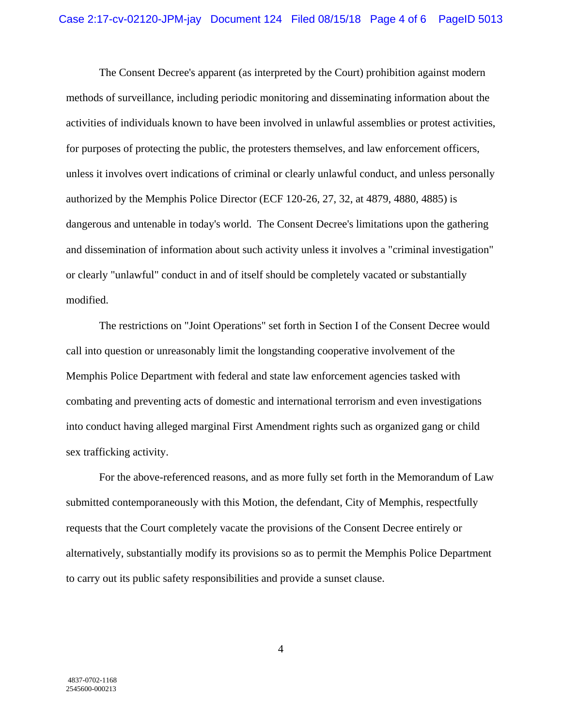The Consent Decree's apparent (as interpreted by the Court) prohibition against modern methods of surveillance, including periodic monitoring and disseminating information about the activities of individuals known to have been involved in unlawful assemblies or protest activities, for purposes of protecting the public, the protesters themselves, and law enforcement officers, unless it involves overt indications of criminal or clearly unlawful conduct, and unless personally authorized by the Memphis Police Director (ECF 120-26, 27, 32, at 4879, 4880, 4885) is dangerous and untenable in today's world. The Consent Decree's limitations upon the gathering and dissemination of information about such activity unless it involves a "criminal investigation" or clearly "unlawful" conduct in and of itself should be completely vacated or substantially modified.

 The restrictions on "Joint Operations" set forth in Section I of the Consent Decree would call into question or unreasonably limit the longstanding cooperative involvement of the Memphis Police Department with federal and state law enforcement agencies tasked with combating and preventing acts of domestic and international terrorism and even investigations into conduct having alleged marginal First Amendment rights such as organized gang or child sex trafficking activity.

 For the above-referenced reasons, and as more fully set forth in the Memorandum of Law submitted contemporaneously with this Motion, the defendant, City of Memphis, respectfully requests that the Court completely vacate the provisions of the Consent Decree entirely or alternatively, substantially modify its provisions so as to permit the Memphis Police Department to carry out its public safety responsibilities and provide a sunset clause.

4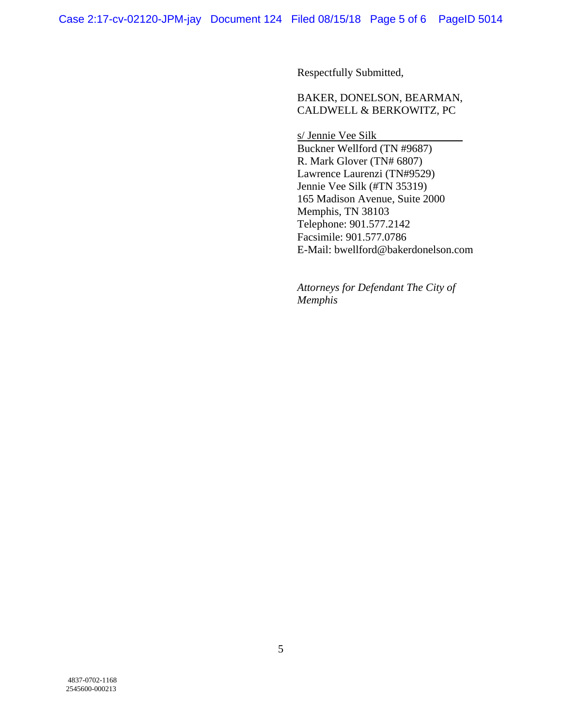Respectfully Submitted,

BAKER, DONELSON, BEARMAN, CALDWELL & BERKOWITZ, PC

s/ Jennie Vee Silk Buckner Wellford (TN #9687) R. Mark Glover (TN# 6807) Lawrence Laurenzi (TN#9529) Jennie Vee Silk (#TN 35319) 165 Madison Avenue, Suite 2000 Memphis, TN 38103 Telephone: 901.577.2142 Facsimile: 901.577.0786 E-Mail: bwellford@bakerdonelson.com

*Attorneys for Defendant The City of Memphis*